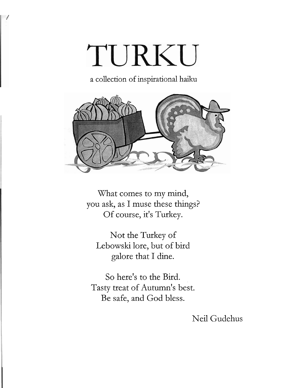# TURKU

a collection of inspirational haiku



What comes to my mind, you ask, as I muse these things? Of course, it's Turkey.

Not the Turkey of Lebowski lore, but of bird galore that I dine.

So here's to the Bird. Tasty treat of Autumn's best. Be safe, and God bless.

Neil Gudehus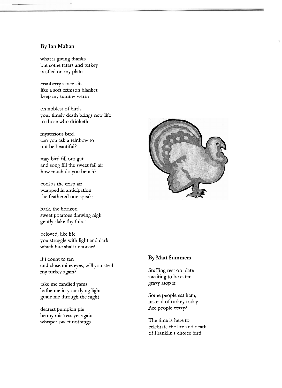#### **By Ian Mahan**

what is giving thanks but some taters and turkey nestled on my plate

cranberry sauce sits like a soft crimson blanket keep my tummy warm

oh noblest of birds your timely death brings new life to those who drinketh

mysterious bird. can you ask a rainbow to not be beautiful?

may bird fill our gut and song fill the sweet fall air how much do you bench?

cool as the crisp air wrapped in anticipation the feathered one speaks

hark, the horizon sweet potatoes drawing nigh gently slake thy thirst

beloved, like life you struggle with light and dark which hue shall i choose?

if i count to ten and close mine eyes, will you steal my turkey again?

take me candied yams bathe me in your dying light guide me through the night

dearest pumpkin pie be my mistress yet again whisper sweet nothings



**1** 

# **By Matt Summers**

Stuffing rest on plate awaiting to be eaten gravy atop it

Some people eat ham, instead of turkey today Are people crazy?

The time is here to celebrate the life and death of Franklin's choice bird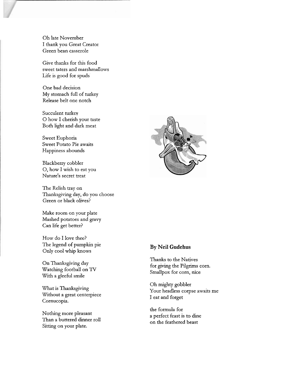Oh late November I thank you Great Creator Green bean casserole

Give thanks for this food sweet taters and marshmallows Life is good for spuds

One bad decision My stomach full of turkey Release belt one notch

Succulent turkey 0 how I cherish your taste Both light and dark meat

Sweet Euphoria Sweet Potato Pie awaits Happiness abounds

Blackberry cobbler 0, how I wish to eat you Nature's secret treat

The Relish tray on Thanksgiving day, do you choose Green or black olives?

Make room on your plate Mashed potatoes and gravy Can life get better?

How do I love thee? The legend of pumpkin pie Only cool whip knows

On Thanksgiving day Watching football on TV With a gleeful smile

What is Thanksgiving Without a great centerpiece Cornucopia.

Nothing more pleasant Than a buttered dinner roll Sitting on your plate.



#### **By Neil Gudehus**

Thanks to the Natives for giving the Pilgrims corn. Smallpox for corn, nice

Oh mighty gobbler Your headless corpse awaits me I eat and forget

the formula for a perfect feast is to, dine on the feathered beast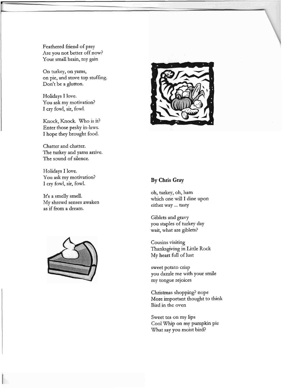Feathered friend of prey Are you not better off now? Your small brain, my gain

On turkey, on yams, on pie, and stove top stuffing. Don't be a glutton.

Holidays I love. You ask my motivation? I cry fowl, sir, fowl.

Knock, Knock. Who is it? Enter those pesky in-laws. I hope they brought food.

Chatter and chatter. The turkey and yams arrive. The sound of silence.

Holidays I love. You ask my motivation? I cry fowl, sir, fowl.

It's a smelly smell. My shrewd senses awaken as if from a dream.





## **By Chris Gray**

oh, turkey, oh, ham which one will I dine upon either way ... tasty

Giblets and gravy you staples of turkey day wait, what are giblets?

Cousins visiting Thanksgiving in Little Rock My heart **full** of lust

sweet potato crisp you dazzle me with your smile my tongue rejoices

Christmas shopping? nope More important thought to **think**  Bird in the oven

Sweet tea on my lips Cool Whip on my pumpkin pie What say you moist bird?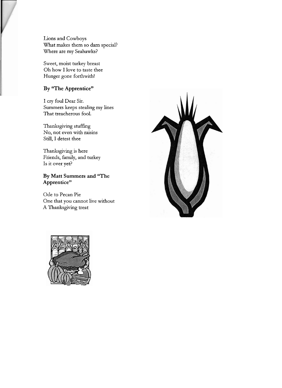Lions and Cowboys What makes them so dam special? Where are my Seahawks?

Sweet, moist turkey breast Oh how I love to taste thee Hunger gone forthwith!

# **By "The Apprentice"**

I cry foul Dear Sir. Summers keeps stealing my lines That treacherous fool.

Thanksgiving stuffing No, not even with raisins Still, I detest thee

Thanksgiving is here Friends, family, and turkey Is it over yet?

# **By Matt Summers and "The Apprentice"**

Ode to Pecan Pie One that you cannot live without A Thanksgiving treat